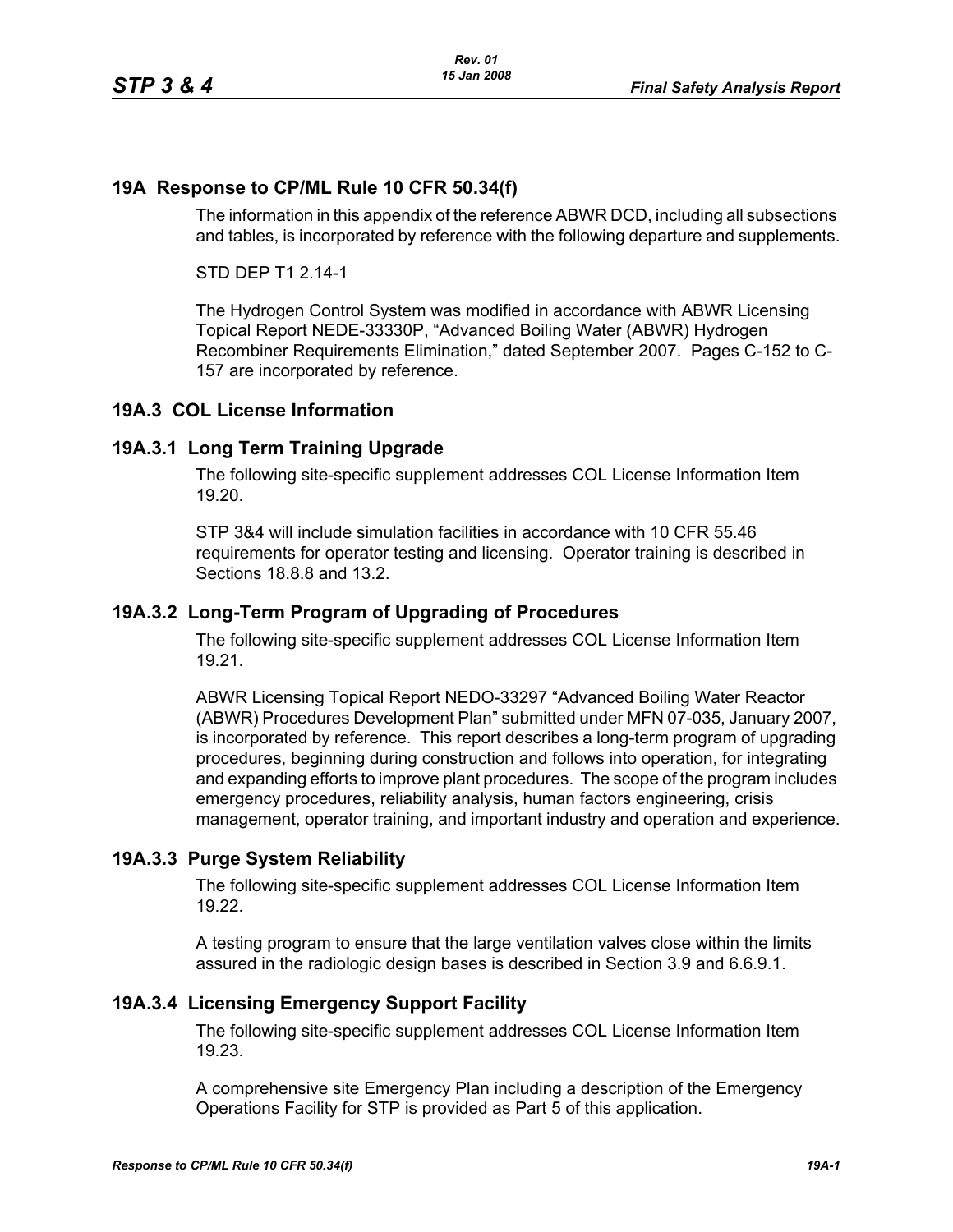## **19A Response to CP/ML Rule 10 CFR 50.34(f)**

The information in this appendix of the reference ABWR DCD, including all subsections and tables, is incorporated by reference with the following departure and supplements.

STD DEP T1 2.14-1

The Hydrogen Control System was modified in accordance with ABWR Licensing Topical Report NEDE-33330P, "Advanced Boiling Water (ABWR) Hydrogen Recombiner Requirements Elimination," dated September 2007. Pages C-152 to C-157 are incorporated by reference.

### **19A.3 COL License Information**

### **19A.3.1 Long Term Training Upgrade**

The following site-specific supplement addresses COL License Information Item 19.20.

STP 3&4 will include simulation facilities in accordance with 10 CFR 55.46 requirements for operator testing and licensing. Operator training is described in Sections 18.8.8 and 13.2.

#### **19A.3.2 Long-Term Program of Upgrading of Procedures**

The following site-specific supplement addresses COL License Information Item 19.21.

ABWR Licensing Topical Report NEDO-33297 "Advanced Boiling Water Reactor (ABWR) Procedures Development Plan" submitted under MFN 07-035, January 2007, is incorporated by reference. This report describes a long-term program of upgrading procedures, beginning during construction and follows into operation, for integrating and expanding efforts to improve plant procedures. The scope of the program includes emergency procedures, reliability analysis, human factors engineering, crisis management, operator training, and important industry and operation and experience.

### **19A.3.3 Purge System Reliability**

The following site-specific supplement addresses COL License Information Item 19.22.

A testing program to ensure that the large ventilation valves close within the limits assured in the radiologic design bases is described in Section 3.9 and 6.6.9.1.

### **19A.3.4 Licensing Emergency Support Facility**

The following site-specific supplement addresses COL License Information Item 19.23.

A comprehensive site Emergency Plan including a description of the Emergency Operations Facility for STP is provided as Part 5 of this application.